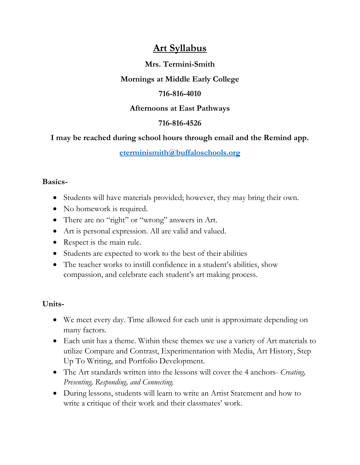# **Art Syllabus**

### **Mrs. Termini-Smith**

## **Mornings at Middle Early College**

### **716-816-4010**

#### **Afternoons at East Pathways**

### **716-816-4526**

# **I may be reached during school hours through email and the Remind app.**

#### **[eterminismith@buffaloschools.org](mailto:eterminismith@buffaloschools.org)**

#### **Basics-**

- Students will have materials provided; however, they may bring their own.
- No homework is required.
- There are no "right" or "wrong" answers in Art.
- Art is personal expression. All are valid and valued.
- Respect is the main rule.
- Students are expected to work to the best of their abilities
- The teacher works to instill confidence in a student's abilities, show compassion, and celebrate each student's art making process.

### **Units-**

- We meet every day. Time allowed for each unit is approximate depending on many factors.
- Each unit has a theme. Within these themes we use a variety of Art materials to utilize Compare and Contrast, Experimentation with Media, Art History, Step Up To Writing, and Portfolio Development.
- The Art standards written into the lessons will cover the 4 anchors- *Creating, Presenting, Responding, and Connecting.*
- During lessons, students will learn to write an Artist Statement and how to write a critique of their work and their classmates' work.